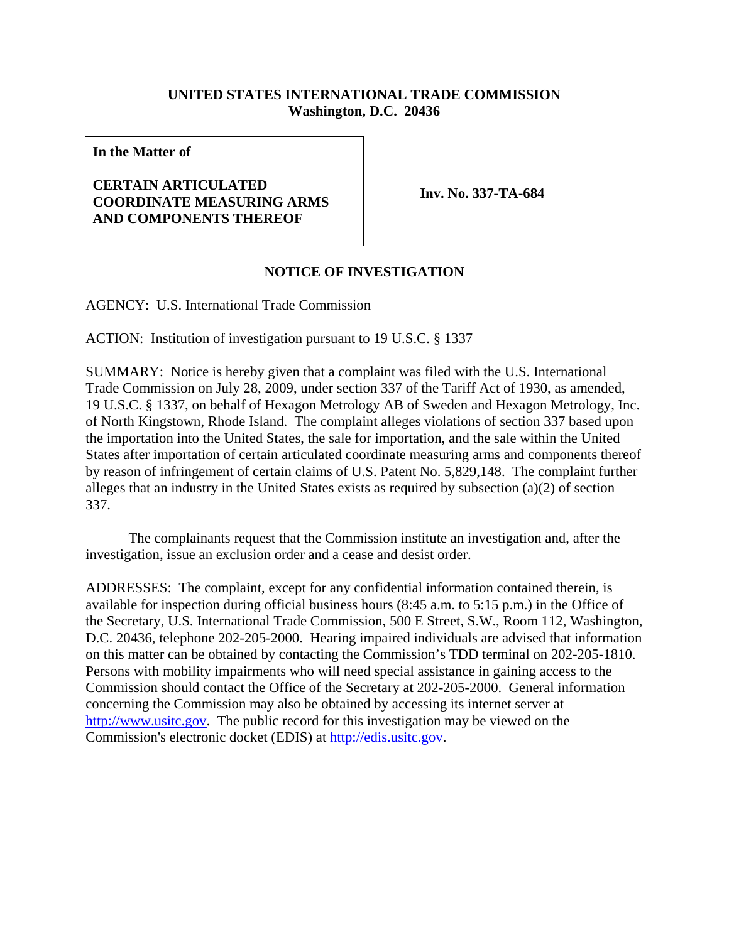## **UNITED STATES INTERNATIONAL TRADE COMMISSION Washington, D.C. 20436**

**In the Matter of**

## **CERTAIN ARTICULATED COORDINATE MEASURING ARMS AND COMPONENTS THEREOF**

**Inv. No. 337-TA-684**

## **NOTICE OF INVESTIGATION**

AGENCY: U.S. International Trade Commission

ACTION: Institution of investigation pursuant to 19 U.S.C. § 1337

SUMMARY: Notice is hereby given that a complaint was filed with the U.S. International Trade Commission on July 28, 2009, under section 337 of the Tariff Act of 1930, as amended, 19 U.S.C. § 1337, on behalf of Hexagon Metrology AB of Sweden and Hexagon Metrology, Inc. of North Kingstown, Rhode Island. The complaint alleges violations of section 337 based upon the importation into the United States, the sale for importation, and the sale within the United States after importation of certain articulated coordinate measuring arms and components thereof by reason of infringement of certain claims of U.S. Patent No. 5,829,148. The complaint further alleges that an industry in the United States exists as required by subsection (a)(2) of section 337.

The complainants request that the Commission institute an investigation and, after the investigation, issue an exclusion order and a cease and desist order.

ADDRESSES: The complaint, except for any confidential information contained therein, is available for inspection during official business hours (8:45 a.m. to 5:15 p.m.) in the Office of the Secretary, U.S. International Trade Commission, 500 E Street, S.W., Room 112, Washington, D.C. 20436, telephone 202-205-2000. Hearing impaired individuals are advised that information on this matter can be obtained by contacting the Commission's TDD terminal on 202-205-1810. Persons with mobility impairments who will need special assistance in gaining access to the Commission should contact the Office of the Secretary at 202-205-2000. General information concerning the Commission may also be obtained by accessing its internet server at http://www.usitc.gov. The public record for this investigation may be viewed on the Commission's electronic docket (EDIS) at http://edis.usitc.gov.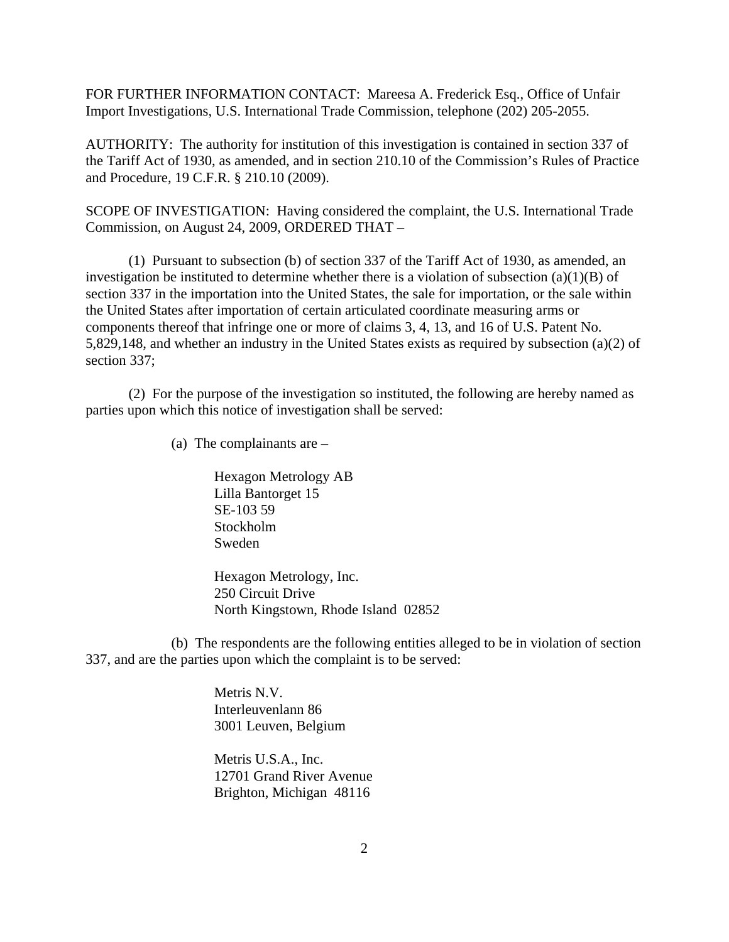FOR FURTHER INFORMATION CONTACT: Mareesa A. Frederick Esq., Office of Unfair Import Investigations, U.S. International Trade Commission, telephone (202) 205-2055.

AUTHORITY: The authority for institution of this investigation is contained in section 337 of the Tariff Act of 1930, as amended, and in section 210.10 of the Commission's Rules of Practice and Procedure, 19 C.F.R. § 210.10 (2009).

SCOPE OF INVESTIGATION: Having considered the complaint, the U.S. International Trade Commission, on August 24, 2009, ORDERED THAT –

(1) Pursuant to subsection (b) of section 337 of the Tariff Act of 1930, as amended, an investigation be instituted to determine whether there is a violation of subsection (a)(1)(B) of section 337 in the importation into the United States, the sale for importation, or the sale within the United States after importation of certain articulated coordinate measuring arms or components thereof that infringe one or more of claims 3, 4, 13, and 16 of U.S. Patent No. 5,829,148, and whether an industry in the United States exists as required by subsection (a)(2) of section 337;

(2) For the purpose of the investigation so instituted, the following are hereby named as parties upon which this notice of investigation shall be served:

(a) The complainants are –

Hexagon Metrology AB Lilla Bantorget 15 SE-103 59 Stockholm Sweden

Hexagon Metrology, Inc. 250 Circuit Drive North Kingstown, Rhode Island 02852

(b) The respondents are the following entities alleged to be in violation of section 337, and are the parties upon which the complaint is to be served:

> Metris N.V. Interleuvenlann 86 3001 Leuven, Belgium

Metris U.S.A., Inc. 12701 Grand River Avenue Brighton, Michigan 48116